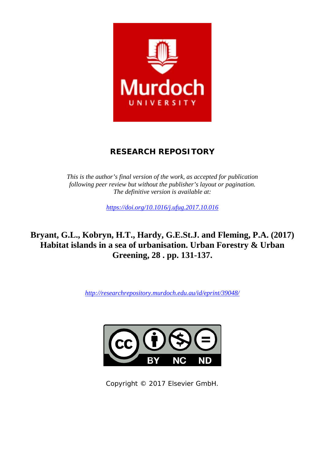

# **RESEARCH REPOSITORY**

*This is the author's final version of the work, as accepted for publication following peer review but without the publisher's layout or pagination. The definitive version is available at:*

*<https://doi.org/10.1016/j.ufug.2017.10.016>*

**Bryant, G.L., Kobryn, H.T., Hardy, G.E.St.J. and Fleming, P.A. (2017) Habitat islands in a sea of urbanisation. Urban Forestry & Urban Greening, 28 . pp. 131-137.**

*<http://researchrepository.murdoch.edu.au/id/eprint/39048/>*



Copyright © 2017 Elsevier GmbH.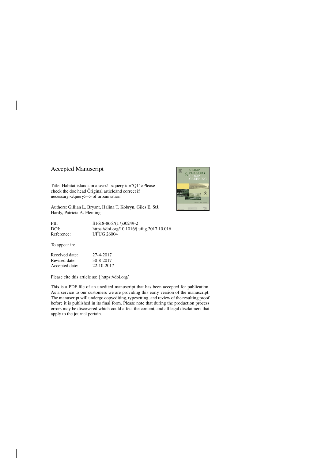# Accepted Manuscript

Title: Habitat islands in a sea<!–<query id="Q1">Please check the doc head Öriginal article and correct if necessary.</query>–> of urbanisation

Authors: Gillian L. Bryant, Halina T. Kobryn, Giles E. StJ. Hardy, Patricia A. Fleming

PII: S1618-8667(17)30249-2 DOI:<https://doi.org/10.1016/j.ufug.2017.10.016> Reference: UFUG 26004

To appear in:

Received date: 27-4-2017 Revised date: 30-8-2017 Accepted date: 22-10-2017

Please cite this article as: { <https://doi.org/>

This is a PDF file of an unedited manuscript that has been accepted for publication. As a service to our customers we are providing this early version of the manuscript. The manuscript will undergo copyediting, typesetting, and review of the resulting proof before it is published in its final form. Please note that during the production process errors may be discovered which could affect the content, and all legal disclaimers that apply to the journal pertain.

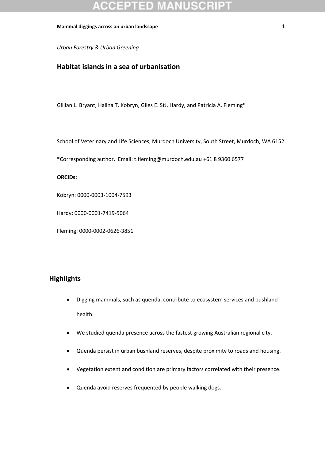*Urban Forestry & Urban Greening*

# **Habitat islands in a sea of urbanisation**

Gillian L. Bryant, Halina T. Kobryn, Giles E. StJ. Hardy, and Patricia A. Fleming\*

School of Veterinary and Life Sciences, Murdoch University, South Street, Murdoch, WA 6152

\*Corresponding author. Email[: t.fleming@murdoch.edu.au](mailto:t.fleming@murdoch.edu.au) +61 8 9360 6577

### **ORCIDs:**

Kobryn: 0000-0003-1004-7593

Hardy: 0000-0001-7419-5064

Fleming: 0000-0002-0626-3851

# **Highlights**

- Digging mammals, such as quenda, contribute to ecosystem services and bushland health.
- We studied quenda presence across the fastest growing Australian regional city.
- Quenda persist in urban bushland reserves, despite proximity to roads and housing.
- Vegetation extent and condition are primary factors correlated with their presence.
- Quenda avoid reserves frequented by people walking dogs.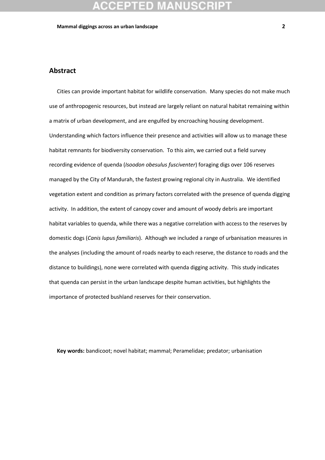# **Abstract**

Cities can provide important habitat for wildlife conservation. Many species do not make much use of anthropogenic resources, but instead are largely reliant on natural habitat remaining within a matrix of urban development, and are engulfed by encroaching housing development. Understanding which factors influence their presence and activities will allow us to manage these habitat remnants for biodiversity conservation. To this aim, we carried out a field survey recording evidence of quenda (*Isoodon obesulus fusciventer*) foraging digs over 106 reserves managed by the City of Mandurah, the fastest growing regional city in Australia. We identified vegetation extent and condition as primary factors correlated with the presence of quenda digging activity. In addition, the extent of canopy cover and amount of woody debris are important habitat variables to quenda, while there was a negative correlation with access to the reserves by domestic dogs (*Canis lupus familiaris*). Although we included a range of urbanisation measures in the analyses (including the amount of roads nearby to each reserve, the distance to roads and the distance to buildings), none were correlated with quenda digging activity. This study indicates that quenda can persist in the urban landscape despite human activities, but highlights the importance of protected bushland reserves for their conservation.

**Key words:** bandicoot; novel habitat; mammal; Peramelidae; predator; urbanisation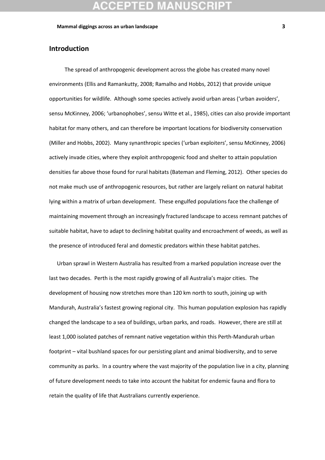## **Introduction**

The spread of anthropogenic development across the globe has created many novel environments (Ellis and Ramankutty, 2008; Ramalho and Hobbs, 2012) that provide unique opportunities for wildlife. Although some species actively avoid urban areas ('urban avoiders', sensu McKinney, 2006; 'urbanophobes', sensu Witte et al., 1985), cities can also provide important habitat for many others, and can therefore be important locations for biodiversity conservation (Miller and Hobbs, 2002). Many synanthropic species ('urban exploiters', sensu McKinney, 2006) actively invade cities, where they exploit anthropogenic food and shelter to attain population densities far above those found for rural habitats (Bateman and Fleming, 2012). Other species do not make much use of anthropogenic resources, but rather are largely reliant on natural habitat lying within a matrix of urban development. These engulfed populations face the challenge of maintaining movement through an increasingly fractured landscape to access remnant patches of suitable habitat, have to adapt to declining habitat quality and encroachment of weeds, as well as the presence of introduced feral and domestic predators within these habitat patches.

Urban sprawl in Western Australia has resulted from a marked population increase over the last two decades. Perth is the most rapidly growing of all Australia's major cities. The development of housing now stretches more than 120 km north to south, joining up with Mandurah, Australia's fastest growing regional city. This human population explosion has rapidly changed the landscape to a sea of buildings, urban parks, and roads. However, there are still at least 1,000 isolated patches of remnant native vegetation within this Perth-Mandurah urban footprint – vital bushland spaces for our persisting plant and animal biodiversity, and to serve community as parks. In a country where the vast majority of the population live in a city, planning of future development needs to take into account the habitat for endemic fauna and flora to retain the quality of life that Australians currently experience.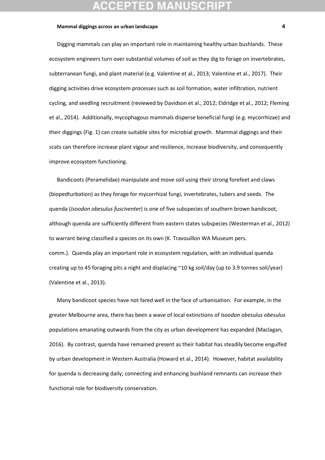Digging mammals can play an important role in maintaining healthy urban bushlands. These ecosystem engineers turn over substantial volumes of soil as they dig to forage on invertebrates, subterranean fungi, and plant material (e.g. Valentine et al., 2013; Valentine et al., 2017). Their digging activities drive ecosystem processes such as soil formation, water infiltration, nutrient cycling, and seedling recruitment (reviewed by Davidson et al., 2012; Eldridge et al., 2012; Fleming et al., 2014). Additionally, mycophagous mammals disperse beneficial fungi (e.g. mycorrhizae) and their diggings (Fig. 1) can create suitable sites for microbial growth. Mammal diggings and their scats can therefore increase plant vigour and resilience, increase biodiversity, and consequently improve ecosystem functioning.

Bandicoots (Peramelidae) manipulate and move soil using their strong forefeet and claws (biopedturbation) as they forage for mycorrhizal fungi, invertebrates, tubers and seeds. The quenda (*Isoodon obesulus fusciventer*) is one of five subspecies of southern brown bandicoot, although quenda are sufficiently different from eastern states subspecies (Westerman et al., 2012) to warrant being classified a species on its own (K. Travouillon WA Museum pers. comm.). Quenda play an important role in ecosystem regulation, with an individual quenda creating up to 45 foraging pits a night and displacing ~10 kg soil/day (up to 3.9 tonnes soil/year) (Valentine et al., 2013).

Many bandicoot species have not fared well in the face of urbanisation. For example, in the greater Melbourne area, there has been a wave of local extinctions of *Isoodon obesulus obesulus*  populations emanating outwards from the city as urban development has expanded (Maclagan, 2016). By contrast, quenda have remained present as their habitat has steadily become engulfed by urban development in Western Australia (Howard et al., 2014). However, habitat availability for quenda is decreasing daily; connecting and enhancing bushland remnants can increase their functional role for biodiversity conservation.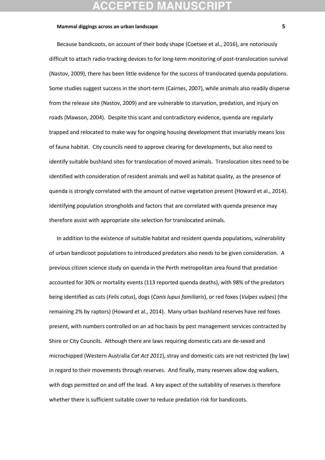Because bandicoots, on account of their body shape (Coetsee et al., 2016), are notoriously difficult to attach radio-tracking devices to for long-term monitoring of post-translocation survival (Nastov, 2009), there has been little evidence for the success of translocated quenda populations. Some studies suggest success in the short-term (Cairnes, 2007), while animals also readily disperse from the release site (Nastov, 2009) and are vulnerable to starvation, predation, and injury on roads (Mawson, 2004). Despite this scant and contradictory evidence, quenda are regularly trapped and relocated to make way for ongoing housing development that invariably means loss of fauna habitat. City councils need to approve clearing for developments, but also need to identify suitable bushland sites for translocation of moved animals. Translocation sites need to be identified with consideration of resident animals and well as habitat quality, as the presence of quenda is strongly correlated with the amount of native vegetation present (Howard et al., 2014). Identifying population strongholds and factors that are correlated with quenda presence may therefore assist with appropriate site selection for translocated animals.

In addition to the existence of suitable habitat and resident quenda populations, vulnerability of urban bandicoot populations to introduced predators also needs to be given consideration. A previous citizen science study on quenda in the Perth metropolitan area found that predation accounted for 30% or mortality events (113 reported quenda deaths), with 98% of the predators being identified as cats (*Felis catus*), dogs (*Canis lupus familiaris*), or red foxes (*Vulpes vulpes*) (the remaining 2% by raptors) (Howard et al., 2014). Many urban bushland reserves have red foxes present, with numbers controlled on an ad hoc basis by pest management services contracted by Shire or City Councils. Although there are laws requiring domestic cats are de-sexed and microchipped (Western Australia *Cat Act 2011*), stray and domestic cats are not restricted (by law) in regard to their movements through reserves. And finally, many reserves allow dog walkers, with dogs permitted on and off the lead. A key aspect of the suitability of reserves is therefore whether there is sufficient suitable cover to reduce predation risk for bandicoots.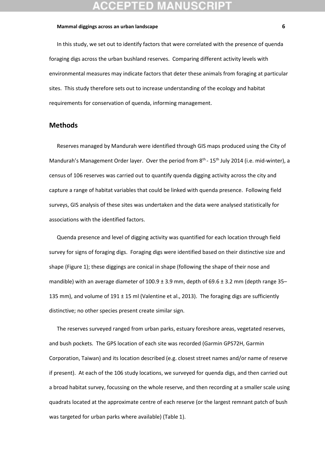In this study, we set out to identify factors that were correlated with the presence of quenda foraging digs across the urban bushland reserves. Comparing different activity levels with environmental measures may indicate factors that deter these animals from foraging at particular sites. This study therefore sets out to increase understanding of the ecology and habitat requirements for conservation of quenda, informing management.

### **Methods**

Reserves managed by Mandurah were identified through GIS maps produced using the City of Mandurah's Management Order layer. Over the period from  $8<sup>th</sup>$  - 15<sup>th</sup> July 2014 (i.e. mid-winter), a census of 106 reserves was carried out to quantify quenda digging activity across the city and capture a range of habitat variables that could be linked with quenda presence. Following field surveys, GIS analysis of these sites was undertaken and the data were analysed statistically for associations with the identified factors.

Quenda presence and level of digging activity was quantified for each location through field survey for signs of foraging digs. Foraging digs were identified based on their distinctive size and shape (Figure 1); these diggings are conical in shape (following the shape of their nose and mandible) with an average diameter of  $100.9 \pm 3.9$  mm, depth of 69.6  $\pm$  3.2 mm (depth range 35– 135 mm), and volume of 191  $\pm$  15 ml (Valentine et al., 2013). The foraging digs are sufficiently distinctive; no other species present create similar sign.

The reserves surveyed ranged from urban parks, estuary foreshore areas, vegetated reserves, and bush pockets. The GPS location of each site was recorded (Garmin GPS72H, Garmin Corporation, Taiwan) and its location described (e.g. closest street names and/or name of reserve if present). At each of the 106 study locations, we surveyed for quenda digs, and then carried out a broad habitat survey, focussing on the whole reserve, and then recording at a smaller scale using quadrats located at the approximate centre of each reserve (or the largest remnant patch of bush was targeted for urban parks where available) (Table 1).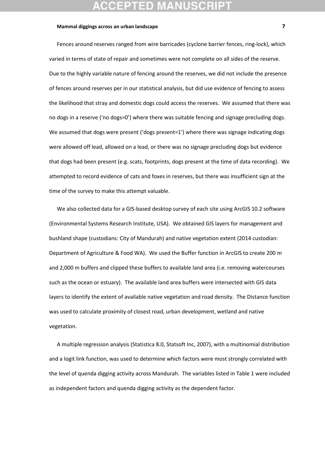Fences around reserves ranged from wire barricades (cyclone barrier fences, ring-lock), which varied in terms of state of repair and sometimes were not complete on all sides of the reserve. Due to the highly variable nature of fencing around the reserves, we did not include the presence of fences around reserves per in our statistical analysis, but did use evidence of fencing to assess the likelihood that stray and domestic dogs could access the reserves. We assumed that there was no dogs in a reserve ('no dogs=0') where there was suitable fencing and signage precluding dogs. We assumed that dogs were present ('dogs present=1') where there was signage indicating dogs were allowed off lead, allowed on a lead, or there was no signage precluding dogs but evidence that dogs had been present (e.g. scats, footprints, dogs present at the time of data recording). We attempted to record evidence of cats and foxes in reserves, but there was insufficient sign at the time of the survey to make this attempt valuable.

We also collected data for a GIS-based desktop survey of each site using ArcGIS 10.2 software (Environmental Systems Research Institute, USA). We obtained GIS layers for management and bushland shape (custodians: City of Mandurah) and native vegetation extent (2014 custodian: Department of Agriculture & Food WA). We used the Buffer function in ArcGIS to create 200 m and 2,000 m buffers and clipped these buffers to available land area (i.e. removing watercourses such as the ocean or estuary). The available land area buffers were intersected with GIS data layers to identify the extent of available native vegetation and road density. The Distance function was used to calculate proximity of closest road, urban development, wetland and native vegetation.

A multiple regression analysis (Statistica 8.0, Statsoft Inc, 2007), with a multinomial distribution and a logit link function, was used to determine which factors were most strongly correlated with the level of quenda digging activity across Mandurah. The variables listed in Table 1 were included as independent factors and quenda digging activity as the dependent factor.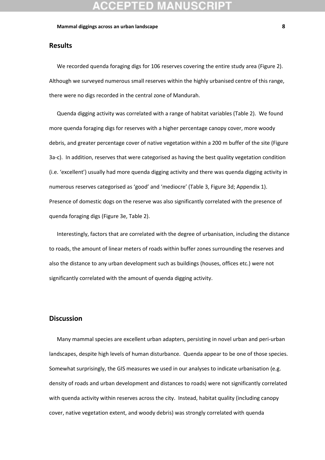## **Results**

We recorded quenda foraging digs for 106 reserves covering the entire study area (Figure 2). Although we surveyed numerous small reserves within the highly urbanised centre of this range, there were no digs recorded in the central zone of Mandurah.

Quenda digging activity was correlated with a range of habitat variables (Table 2). We found more quenda foraging digs for reserves with a higher percentage canopy cover, more woody debris, and greater percentage cover of native vegetation within a 200 m buffer of the site (Figure 3a-c). In addition, reserves that were categorised as having the best quality vegetation condition (i.e. 'excellent') usually had more quenda digging activity and there was quenda digging activity in numerous reserves categorised as 'good' and 'mediocre' (Table 3, Figure 3d; Appendix 1). Presence of domestic dogs on the reserve was also significantly correlated with the presence of quenda foraging digs (Figure 3e, Table 2).

Interestingly, factors that are correlated with the degree of urbanisation, including the distance to roads, the amount of linear meters of roads within buffer zones surrounding the reserves and also the distance to any urban development such as buildings (houses, offices etc.) were not significantly correlated with the amount of quenda digging activity.

### **Discussion**

Many mammal species are excellent urban adapters, persisting in novel urban and peri-urban landscapes, despite high levels of human disturbance. Quenda appear to be one of those species. Somewhat surprisingly, the GIS measures we used in our analyses to indicate urbanisation (e.g. density of roads and urban development and distances to roads) were not significantly correlated with quenda activity within reserves across the city. Instead, habitat quality (including canopy cover, native vegetation extent, and woody debris) was strongly correlated with quenda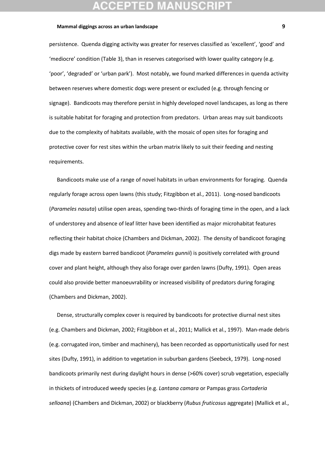persistence. Quenda digging activity was greater for reserves classified as 'excellent', 'good' and 'mediocre' condition (Table 3), than in reserves categorised with lower quality category (e.g. 'poor', 'degraded' or 'urban park'). Most notably, we found marked differences in quenda activity between reserves where domestic dogs were present or excluded (e.g. through fencing or signage). Bandicoots may therefore persist in highly developed novel landscapes, as long as there is suitable habitat for foraging and protection from predators. Urban areas may suit bandicoots due to the complexity of habitats available, with the mosaic of open sites for foraging and protective cover for rest sites within the urban matrix likely to suit their feeding and nesting requirements.

Bandicoots make use of a range of novel habitats in urban environments for foraging. Quenda regularly forage across open lawns (this study; Fitzgibbon et al., 2011). Long-nosed bandicoots (*Parameles nasuta*) utilise open areas, spending two-thirds of foraging time in the open, and a lack of understorey and absence of leaf litter have been identified as major microhabitat features reflecting their habitat choice (Chambers and Dickman, 2002). The density of bandicoot foraging digs made by eastern barred bandicoot (*Parameles gunnii*) is positively correlated with ground cover and plant height, although they also forage over garden lawns (Dufty, 1991). Open areas could also provide better manoeuvrability or increased visibility of predators during foraging (Chambers and Dickman, 2002).

Dense, structurally complex cover is required by bandicoots for protective diurnal nest sites (e.g. Chambers and Dickman, 2002; Fitzgibbon et al., 2011; Mallick et al., 1997). Man-made debris (e.g. corrugated iron, timber and machinery), has been recorded as opportunistically used for nest sites (Dufty, 1991), in addition to vegetation in suburban gardens (Seebeck, 1979). Long-nosed bandicoots primarily nest during daylight hours in dense (>60% cover) scrub vegetation, especially in thickets of introduced weedy species (e.g. *Lantana camara* or Pampas grass *Cortaderia selloana*) (Chambers and Dickman, 2002) or blackberry (*Rubus fruticosus* aggregate) (Mallick et al.,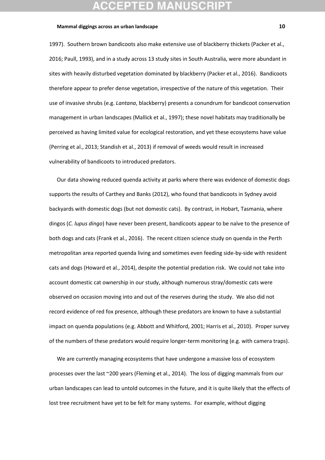1997). Southern brown bandicoots also make extensive use of blackberry thickets (Packer et al., 2016; Paull, 1993), and in a study across 13 study sites in South Australia, were more abundant in sites with heavily disturbed vegetation dominated by blackberry (Packer et al., 2016). Bandicoots therefore appear to prefer dense vegetation, irrespective of the nature of this vegetation. Their use of invasive shrubs (e.g. *Lantana*, blackberry) presents a conundrum for bandicoot conservation management in urban landscapes (Mallick et al., 1997); these novel habitats may traditionally be perceived as having limited value for ecological restoration, and yet these ecosystems have value (Perring et al., 2013; Standish et al., 2013) if removal of weeds would result in increased vulnerability of bandicoots to introduced predators.

Our data showing reduced quenda activity at parks where there was evidence of domestic dogs supports the results of Carthey and Banks (2012), who found that bandicoots in Sydney avoid backyards with domestic dogs (but not domestic cats). By contrast, in Hobart, Tasmania, where dingos (*C. lupus dingo*) have never been present, bandicoots appear to be naïve to the presence of both dogs and cats (Frank et al., 2016). The recent citizen science study on quenda in the Perth metropolitan area reported quenda living and sometimes even feeding side-by-side with resident cats and dogs (Howard et al., 2014), despite the potential predation risk. We could not take into account domestic cat ownership in our study, although numerous stray/domestic cats were observed on occasion moving into and out of the reserves during the study. We also did not record evidence of red fox presence, although these predators are known to have a substantial impact on quenda populations (e.g. Abbott and Whitford, 2001; Harris et al., 2010). Proper survey of the numbers of these predators would require longer-term monitoring (e.g. with camera traps).

We are currently managing ecosystems that have undergone a massive loss of ecosystem processes over the last ~200 years (Fleming et al., 2014). The loss of digging mammals from our urban landscapes can lead to untold outcomes in the future, and it is quite likely that the effects of lost tree recruitment have yet to be felt for many systems. For example, without digging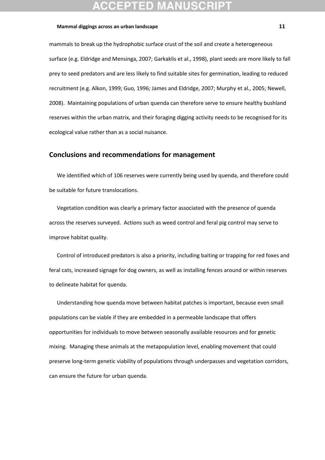mammals to break up the hydrophobic surface crust of the soil and create a heterogeneous surface (e.g. Eldridge and Mensinga, 2007; Garkaklis et al., 1998), plant seeds are more likely to fall prey to seed predators and are less likely to find suitable sites for germination, leading to reduced recruitment (e.g. Alkon, 1999; Guo, 1996; James and Eldridge, 2007; Murphy et al., 2005; Newell, 2008). Maintaining populations of urban quenda can therefore serve to ensure healthy bushland reserves within the urban matrix, and their foraging digging activity needs to be recognised for its ecological value rather than as a social nuisance.

### **Conclusions and recommendations for management**

We identified which of 106 reserves were currently being used by quenda, and therefore could be suitable for future translocations.

Vegetation condition was clearly a primary factor associated with the presence of quenda across the reserves surveyed. Actions such as weed control and feral pig control may serve to improve habitat quality.

Control of introduced predators is also a priority, including baiting or trapping for red foxes and feral cats, increased signage for dog owners, as well as installing fences around or within reserves to delineate habitat for quenda.

Understanding how quenda move between habitat patches is important, because even small populations can be viable if they are embedded in a permeable landscape that offers opportunities for individuals to move between seasonally available resources and for genetic mixing. Managing these animals at the metapopulation level, enabling movement that could preserve long-term genetic viability of populations through underpasses and vegetation corridors, can ensure the future for urban quenda.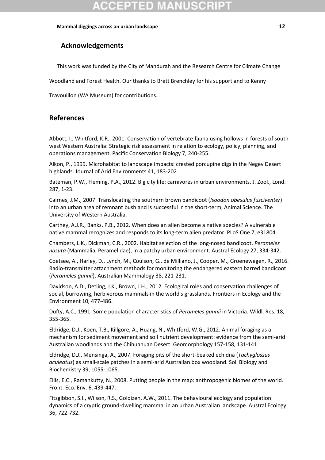# **Acknowledgements**

This work was funded by the City of Mandurah and the Research Centre for Climate Change

Woodland and Forest Health. Our thanks to Brett Brenchley for his support and to Kenny

Travouillon (WA Museum) for contributions.

# **References**

Abbott, I., Whitford, K.R., 2001. Conservation of vertebrate fauna using hollows in forests of southwest Western Australia: Strategic risk assessment in relation to ecology, policy, planning, and operations management. Pacific Conservation Biology 7, 240-255.

Alkon, P., 1999. Microhabitat to landscape impacts: crested porcupine digs in the Negev Desert highlands. Journal of Arid Environments 41, 183-202.

Bateman, P.W., Fleming, P.A., 2012. Big city life: carnivores in urban environments. J. Zool., Lond. 287, 1-23.

Cairnes, J.M., 2007. Translocating the southern brown bandicoot (*Isoodon obesulus fusciventer*) into an urban area of remnant bushland is successful in the short-term, Animal Science. The University of Western Australia.

Carthey, A.J.R., Banks, P.B., 2012. When does an alien become a native species? A vulnerable native mammal recognizes and responds to its long-term alien predator. PLoS One 7, e31804.

Chambers, L.K., Dickman, C.R., 2002. Habitat selection of the long-nosed bandicoot, *Perameles nasuta* (Mammalia, Peramelidae), in a patchy urban environment. Austral Ecology 27, 334-342.

Coetsee, A., Harley, D., Lynch, M., Coulson, G., de Milliano, J., Cooper, M., Groenewegen, R., 2016. Radio-transmitter attachment methods for monitoring the endangered eastern barred bandicoot (*Perameles gunnii*). Australian Mammalogy 38, 221-231.

Davidson, A.D., Detling, J.K., Brown, J.H., 2012. Ecological roles and conservation challenges of social, burrowing, herbivorous mammals in the world's grasslands. Frontiers in Ecology and the Environment 10, 477-486.

Dufty, A.C., 1991. Some population characteristics of *Perameles gunnii* in Victoria. Wildl. Res. 18, 355-365.

Eldridge, D.J., Koen, T.B., Killgore, A., Huang, N., Whitford, W.G., 2012. Animal foraging as a mechanism for sediment movement and soil nutrient development: evidence from the semi-arid Australian woodlands and the Chihuahuan Desert. Geomorphology 157-158, 131-141.

Eldridge, D.J., Mensinga, A., 2007. Foraging pits of the short-beaked echidna (*Tachyglossus aculeatus*) as small-scale patches in a semi-arid Australian box woodland. Soil Biology and Biochemistry 39, 1055-1065.

Ellis, E.C., Ramankutty, N., 2008. Putting people in the map: anthropogenic biomes of the world. Front. Eco. Env. 6, 439-447.

Fitzgibbon, S.I., Wilson, R.S., Goldizen, A.W., 2011. The behavioural ecology and population dynamics of a cryptic ground-dwelling mammal in an urban Australian landscape. Austral Ecology 36, 722-732.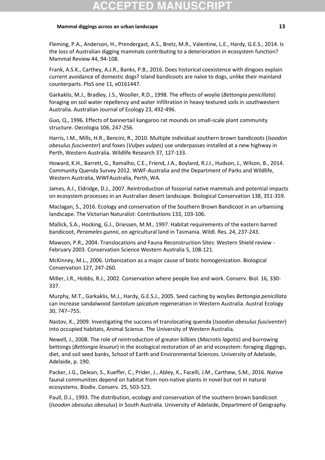Fleming, P.A., Anderson, H., Prendergast, A.S., Bretz, M.R., Valentine, L.E., Hardy, G.E.S., 2014. Is the loss of Australian digging mammals contributing to a deterioration in ecosystem function? Mammal Review 44, 94-108.

Frank, A.S.K., Carthey, A.J.R., Banks, P.B., 2016. Does historical coexistence with dingoes explain current avoidance of domestic dogs? Island bandicoots are naïve to dogs, unlike their mainland counterparts. PloS one 11, e0161447.

Garkaklis, M.J., Bradley, J.S., Wooller, R.D., 1998. The effects of woylie (*Bettongia penicillata*) foraging on soil water repellency and water infiltration in heavy textured soils in southwestern Australia. Australian Journal of Ecology 23, 492-496.

Guo, Q., 1996. Effects of bannertail kangaroo rat mounds on small-scale plant community structure. Oecologia 106, 247-256.

Harris, I.M., Mills, H.R., Bencini, R., 2010. Multiple individual southern brown bandicoots (*Isoodon obesulus fusciventer*) and foxes (*Vulpes vulpes*) use underpasses installed at a new highway in Perth, Western Australia. Wildlife Research 37, 127-133.

Howard, K.H., Barrett, G., Ramalho, C.E., Friend, J.A., Boyland, R.J.I., Hudson, J., Wilson, B., 2014. Community Quenda Survey 2012. WWF-Australia and the Department of Parks and Wildlife, Western Australia, WWFAustralia, Perth, WA.

James, A.I., Eldridge, D.J., 2007. Reintroduction of fossorial native mammals and potential impacts on ecosystem processes in an Australian desert landscape. Biological Conservation 138, 351-359.

Maclagan, S., 2016. Ecology and conservation of the Southern Brown Bandicoot in an urbanising landscape. The Victorian Naturalist: Contributions 133, 103-106.

Mallick, S.A., Hocking, G.J., Driessen, M.M., 1997. Habitat requirements of the eastern barred bandicoot, *Perameles gunnii*, on agricultural land in Tasmania. Wildl. Res. 24, 237-243.

Mawson, P.R., 2004. Translocations and Fauna Reconstruction Sites: Western Shield review - February 2003. Conservation Science Western Australia 5, 108-121.

McKinney, M.L., 2006. Urbanization as a major cause of biotic homogenization. Biological Conservation 127, 247-260.

Miller, J.R., Hobbs, R.J., 2002. Conservation where people live and work. Conserv. Biol. 16, 330- 337.

Murphy, M.T., Garkaklis, M.J., Hardy, G.E.S.J., 2005. Seed caching by woylies *Bettongia penicillata* can increase sandalwood *Santalum spicatum* regeneration in Western Australia. Austral Ecology 30, 747–755.

Nastov, K., 2009. Investigating the success of translocating quenda (*Isoodon obesulus fusciventer*) into occupied habitats, Animal Science. The University of Western Australia.

Newell, J., 2008. The role of reintroduction of greater bilbies (*Macrotis lagotis*) and burrowing bettongs (*Bettongia lesueur*) in the ecological restoration of an arid ecosystem: foraging diggings, diet, and soil seed banks, School of Earth and Environmental Sciences. University of Adelaide, Adelaide, p. 190.

Packer, J.G., Delean, S., Kueffer, C., Prider, J., Abley, K., Facelli, J.M., Carthew, S.M., 2016. Native faunal communities depend on habitat from non-native plants in novel but not in natural ecosystems. Biodiv. Conserv. 25, 503-523.

Paull, D.J., 1993. The distribution, ecology and conservation of the southern brown bandicoot (*Isoodon obesulus obesulus*) in South Australia. University of Adelaide, Department of Geography.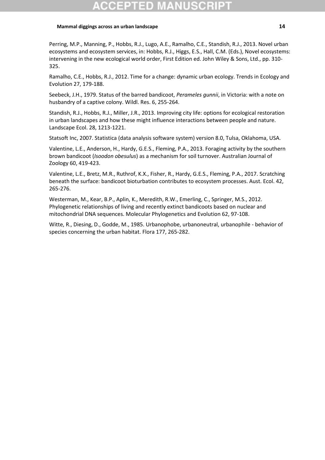Perring, M.P., Manning, P., Hobbs, R.J., Lugo, A.E., Ramalho, C.E., Standish, R.J., 2013. Novel urban ecosystems and ecosystem services, in: Hobbs, R.J., Higgs, E.S., Hall, C.M. (Eds.), Novel ecosystems: intervening in the new ecological world order, First Edition ed. John Wiley & Sons, Ltd., pp. 310- 325.

Ramalho, C.E., Hobbs, R.J., 2012. Time for a change: dynamic urban ecology. Trends in Ecology and Evolution 27, 179-188.

Seebeck, J.H., 1979. Status of the barred bandicoot, *Perameles gunnii*, in Victoria: with a note on husbandry of a captive colony. Wildl. Res. 6, 255-264.

Standish, R.J., Hobbs, R.J., Miller, J.R., 2013. Improving city life: options for ecological restoration in urban landscapes and how these might influence interactions between people and nature. Landscape Ecol. 28, 1213-1221.

Statsoft Inc, 2007. Statistica (data analysis software system) version 8.0, Tulsa, Oklahoma, USA.

Valentine, L.E., Anderson, H., Hardy, G.E.S., Fleming, P.A., 2013. Foraging activity by the southern brown bandicoot (*Isoodon obesulus*) as a mechanism for soil turnover. Australian Journal of Zoology 60, 419-423.

Valentine, L.E., Bretz, M.R., Ruthrof, K.X., Fisher, R., Hardy, G.E.S., Fleming, P.A., 2017. Scratching beneath the surface: bandicoot bioturbation contributes to ecosystem processes. Aust. Ecol. 42, 265-276.

Westerman, M., Kear, B.P., Aplin, K., Meredith, R.W., Emerling, C., Springer, M.S., 2012. Phylogenetic relationships of living and recently extinct bandicoots based on nuclear and mitochondrial DNA sequences. Molecular Phylogenetics and Evolution 62, 97-108.

Witte, R., Diesing, D., Godde, M., 1985. Urbanophobe, urbanoneutral, urbanophile - behavior of species concerning the urban habitat. Flora 177, 265-282.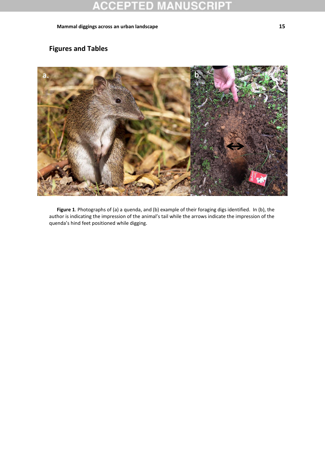# **Figures and Tables**



**Figure 1**. Photographs of (a) a quenda, and (b) example of their foraging digs identified. In (b), the author is indicating the impression of the animal's tail while the arrows indicate the impression of the quenda's hind feet positioned while digging.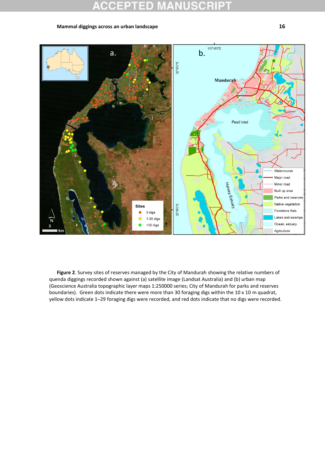

**Figure 2**. Survey sites of reserves managed by the City of Mandurah showing the relative numbers of quenda diggings recorded shown against (a) satellite image (Landsat Australia) and (b) urban map (Geoscience Australia topographic layer maps 1:250000 series; City of Mandurah for parks and reserves boundaries). Green dots indicate there were more than 30 foraging digs within the 10 x 10 m quadrat, yellow dots indicate 1–29 foraging digs were recorded, and red dots indicate that no digs were recorded.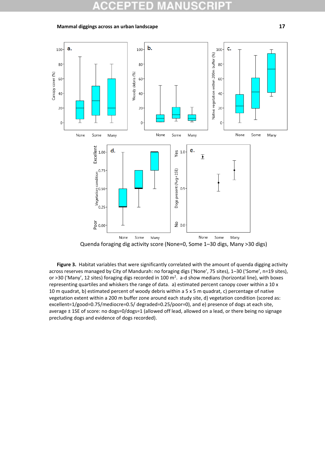

Figure 3. Habitat variables that were significantly correlated with the amount of quenda digging activity across reserves managed by City of Mandurah: no foraging digs ('None', 75 sites), 1–30 ('Some', n=19 sites), or >30 ('Many', 12 sites) foraging digs recorded in 100 m<sup>2</sup>. a-d show medians (horizontal line), with boxes representing quartiles and whiskers the range of data. a) estimated percent canopy cover within a 10 x 10 m quadrat, b) estimated percent of woody debris within a 5 x 5 m quadrat, c) percentage of native vegetation extent within a 200 m buffer zone around each study site, d) vegetation condition (scored as: excellent=1/good=0.75/mediocre=0.5/ degraded=0.25/poor=0), and e) presence of dogs at each site, average ± 1SE of score: no dogs=0/dogs=1 (allowed off lead, allowed on a lead, or there being no signage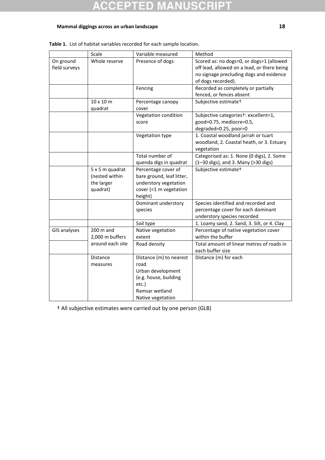#### SCRIP1 10 B y s 0 o Ξ  $\pm$ u

### **Mammal diggings across an urban landscape 18**

|                     | Scale            | Variable measured         | Method                                            |
|---------------------|------------------|---------------------------|---------------------------------------------------|
| On ground           | Whole reserve    | Presence of dogs          | Scored as: no dogs=0, or dogs=1 (allowed          |
| field surveys       |                  |                           | off lead, allowed on a lead, or there being       |
|                     |                  |                           | no signage precluding dogs and evidence           |
|                     |                  |                           | of dogs recorded).                                |
|                     |                  | Fencing                   | Recorded as completely or partially               |
|                     |                  |                           | fenced, or fences absent                          |
|                     | $10 \times 10$ m | Percentage canopy         | Subjective estimate <sup>+</sup>                  |
|                     | quadrat          | cover                     |                                                   |
|                     |                  | Vegetation condition      | Subjective categories <sup>+</sup> : excellent=1, |
|                     |                  | score                     | good=0.75, mediocre=0.5,                          |
|                     |                  |                           | degraded=0.25, poor=0                             |
|                     |                  | Vegetation type           | 1. Coastal woodland jarrah or tuart               |
|                     |                  |                           | woodland, 2. Coastal heath, or 3. Estuary         |
|                     |                  |                           | vegetation                                        |
|                     |                  | Total number of           | Categorised as: 1. None (0 digs), 2. Some         |
|                     |                  | quenda digs in quadrat    | (1-30 digs), and 3. Many (>30 digs)               |
|                     | 5 x 5 m quadrat  | Percentage cover of       | Subjective estimate <sup>+</sup>                  |
|                     | (nested within   | bare ground, leaf litter, |                                                   |
|                     | the larger       | understory vegetation     |                                                   |
|                     | quadrat)         | cover (<1 m vegetation    |                                                   |
|                     |                  | height)                   |                                                   |
|                     |                  | Dominant understory       | Species identified and recorded and               |
|                     |                  | species                   | percentage cover for each dominant                |
|                     |                  |                           | understory species recorded                       |
|                     |                  | Soil type                 | 1. Loamy sand, 2. Sand, 3. Silt, or 4. Clay       |
| <b>GIS analyses</b> | $200$ m and      | Native vegetation         | Percentage of native vegetation cover             |
|                     | 2,000 m buffers  | extent                    | within the buffer                                 |
|                     | around each site | Road density              | Total amount of linear metres of roads in         |
|                     |                  |                           | each buffer size                                  |
|                     | Distance         | Distance (m) to nearest   | Distance (m) for each                             |
|                     | measures         | road                      |                                                   |
|                     |                  | Urban development         |                                                   |
|                     |                  | (e.g. house, building     |                                                   |
|                     |                  | etc.)                     |                                                   |
|                     |                  | Ramsar wetland            |                                                   |
|                     |                  | Native vegetation         |                                                   |

† All subjective estimates were carried out by one person (GLB)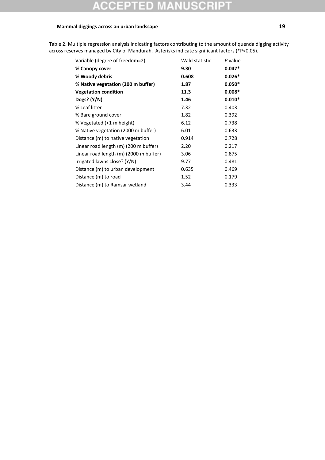# 10

### **Mammal diggings across an urban landscape 19**

Variable (degree of freedom=2) Wald statistic *P* value **% Canopy cover 9.30 0.047\* % Woody debris 0.608 0.026\* % Native vegetation (200 m buffer) 1.87 0.050\* Vegetation condition 11.3 0.008\* Dogs? (Y/N) 1.46 0.010\*** % Leaf litter 7.32 0.403 % Bare ground cover 1.82 0.392 % Vegetated (<1 m height) 6.12 0.738 % Native vegetation (2000 m buffer) 6.01 0.633 Distance (m) to native vegetation 0.914 0.728 Linear road length (m) (200 m buffer) 2.20 0.217 Linear road length (m) (2000 m buffer) 3.06 0.875 Irrigated lawns close? (Y/N) 9.77 0.481 Distance (m) to urban development 0.635 0.469 Distance (m) to road 1.52 0.179 Distance (m) to Ramsar wetland 3.44 0.333

Table 2. Multiple regression analysis indicating factors contributing to the amount of quenda digging activity across reserves managed by City of Mandurah. Asterisks indicate significant factors (\*P<0.05).